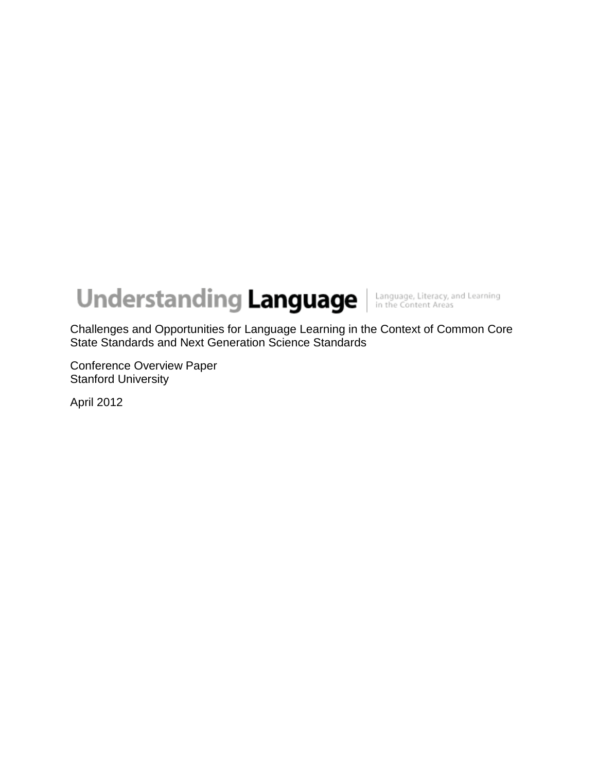# **Understanding Language** Interactive and Learning

Challenges and Opportunities for Language Learning in the Context of Common Core State Standards and Next Generation Science Standards

Conference Overview Paper Stanford University

April 2012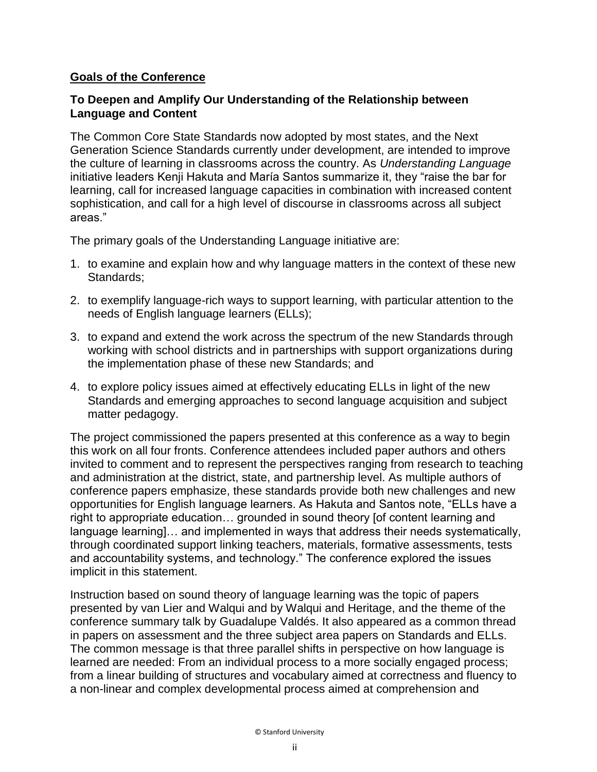#### **Goals of the Conference**

#### **To Deepen and Amplify Our Understanding of the Relationship between Language and Content**

The Common Core State Standards now adopted by most states, and the Next Generation Science Standards currently under development, are intended to improve the culture of learning in classrooms across the country. As *Understanding Language*  initiative leaders Kenji Hakuta and María Santos summarize it, they "raise the bar for learning, call for increased language capacities in combination with increased content sophistication, and call for a high level of discourse in classrooms across all subject areas."

The primary goals of the Understanding Language initiative are:

- 1. to examine and explain how and why language matters in the context of these new Standards;
- 2. to exemplify language-rich ways to support learning, with particular attention to the needs of English language learners (ELLs);
- 3. to expand and extend the work across the spectrum of the new Standards through working with school districts and in partnerships with support organizations during the implementation phase of these new Standards; and
- 4. to explore policy issues aimed at effectively educating ELLs in light of the new Standards and emerging approaches to second language acquisition and subject matter pedagogy.

The project commissioned the papers presented at this conference as a way to begin this work on all four fronts. Conference attendees included paper authors and others invited to comment and to represent the perspectives ranging from research to teaching and administration at the district, state, and partnership level. As multiple authors of conference papers emphasize, these standards provide both new challenges and new opportunities for English language learners. As Hakuta and Santos note, "ELLs have a right to appropriate education… grounded in sound theory [of content learning and language learning]… and implemented in ways that address their needs systematically, through coordinated support linking teachers, materials, formative assessments, tests and accountability systems, and technology." The conference explored the issues implicit in this statement.

Instruction based on sound theory of language learning was the topic of papers presented by van Lier and Walqui and by Walqui and Heritage, and the theme of the conference summary talk by Guadalupe Valdés. It also appeared as a common thread in papers on assessment and the three subject area papers on Standards and ELLs. The common message is that three parallel shifts in perspective on how language is learned are needed: From an individual process to a more socially engaged process; from a linear building of structures and vocabulary aimed at correctness and fluency to a non-linear and complex developmental process aimed at comprehension and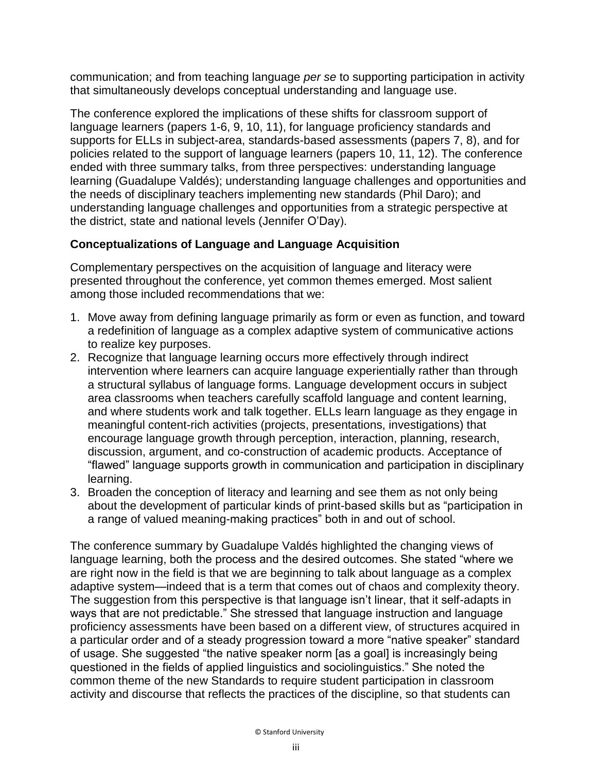communication; and from teaching language *per se* to supporting participation in activity that simultaneously develops conceptual understanding and language use.

The conference explored the implications of these shifts for classroom support of language learners (papers 1-6, 9, 10, 11), for language proficiency standards and supports for ELLs in subject-area, standards-based assessments (papers 7, 8), and for policies related to the support of language learners (papers 10, 11, 12). The conference ended with three summary talks, from three perspectives: understanding language learning (Guadalupe Valdés); understanding language challenges and opportunities and the needs of disciplinary teachers implementing new standards (Phil Daro); and understanding language challenges and opportunities from a strategic perspective at the district, state and national levels (Jennifer O'Day).

## **Conceptualizations of Language and Language Acquisition**

Complementary perspectives on the acquisition of language and literacy were presented throughout the conference, yet common themes emerged. Most salient among those included recommendations that we:

- 1. Move away from defining language primarily as form or even as function, and toward a redefinition of language as a complex adaptive system of communicative actions to realize key purposes.
- 2. Recognize that language learning occurs more effectively through indirect intervention where learners can acquire language experientially rather than through a structural syllabus of language forms. Language development occurs in subject area classrooms when teachers carefully scaffold language and content learning, and where students work and talk together. ELLs learn language as they engage in meaningful content-rich activities (projects, presentations, investigations) that encourage language growth through perception, interaction, planning, research, discussion, argument, and co-construction of academic products. Acceptance of "flawed" language supports growth in communication and participation in disciplinary learning.
- 3. Broaden the conception of literacy and learning and see them as not only being about the development of particular kinds of print-based skills but as "participation in a range of valued meaning-making practices" both in and out of school.

The conference summary by Guadalupe Valdés highlighted the changing views of language learning, both the process and the desired outcomes. She stated "where we are right now in the field is that we are beginning to talk about language as a complex adaptive system—indeed that is a term that comes out of chaos and complexity theory. The suggestion from this perspective is that language isn't linear, that it self-adapts in ways that are not predictable." She stressed that language instruction and language proficiency assessments have been based on a different view, of structures acquired in a particular order and of a steady progression toward a more "native speaker" standard of usage. She suggested "the native speaker norm [as a goal] is increasingly being questioned in the fields of applied linguistics and sociolinguistics." She noted the common theme of the new Standards to require student participation in classroom activity and discourse that reflects the practices of the discipline, so that students can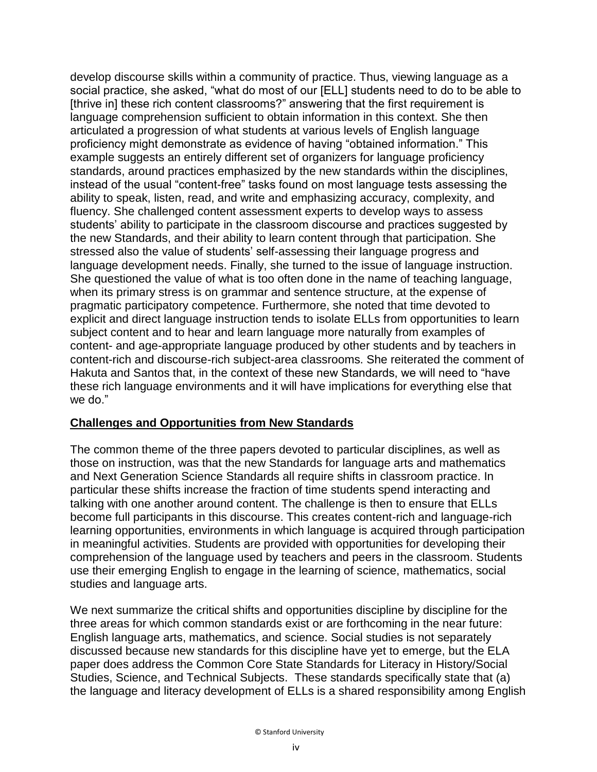develop discourse skills within a community of practice. Thus, viewing language as a social practice, she asked, "what do most of our [ELL] students need to do to be able to [thrive in] these rich content classrooms?" answering that the first requirement is language comprehension sufficient to obtain information in this context. She then articulated a progression of what students at various levels of English language proficiency might demonstrate as evidence of having "obtained information." This example suggests an entirely different set of organizers for language proficiency standards, around practices emphasized by the new standards within the disciplines, instead of the usual "content-free" tasks found on most language tests assessing the ability to speak, listen, read, and write and emphasizing accuracy, complexity, and fluency. She challenged content assessment experts to develop ways to assess students' ability to participate in the classroom discourse and practices suggested by the new Standards, and their ability to learn content through that participation. She stressed also the value of students' self-assessing their language progress and language development needs. Finally, she turned to the issue of language instruction. She questioned the value of what is too often done in the name of teaching language, when its primary stress is on grammar and sentence structure, at the expense of pragmatic participatory competence. Furthermore, she noted that time devoted to explicit and direct language instruction tends to isolate ELLs from opportunities to learn subject content and to hear and learn language more naturally from examples of content- and age-appropriate language produced by other students and by teachers in content-rich and discourse-rich subject-area classrooms. She reiterated the comment of Hakuta and Santos that, in the context of these new Standards, we will need to "have these rich language environments and it will have implications for everything else that we do."

#### **Challenges and Opportunities from New Standards**

The common theme of the three papers devoted to particular disciplines, as well as those on instruction, was that the new Standards for language arts and mathematics and Next Generation Science Standards all require shifts in classroom practice. In particular these shifts increase the fraction of time students spend interacting and talking with one another around content. The challenge is then to ensure that ELLs become full participants in this discourse. This creates content-rich and language-rich learning opportunities, environments in which language is acquired through participation in meaningful activities. Students are provided with opportunities for developing their comprehension of the language used by teachers and peers in the classroom. Students use their emerging English to engage in the learning of science, mathematics, social studies and language arts.

We next summarize the critical shifts and opportunities discipline by discipline for the three areas for which common standards exist or are forthcoming in the near future: English language arts, mathematics, and science. Social studies is not separately discussed because new standards for this discipline have yet to emerge, but the ELA paper does address the Common Core State Standards for Literacy in History/Social Studies, Science, and Technical Subjects. These standards specifically state that (a) the language and literacy development of ELLs is a shared responsibility among English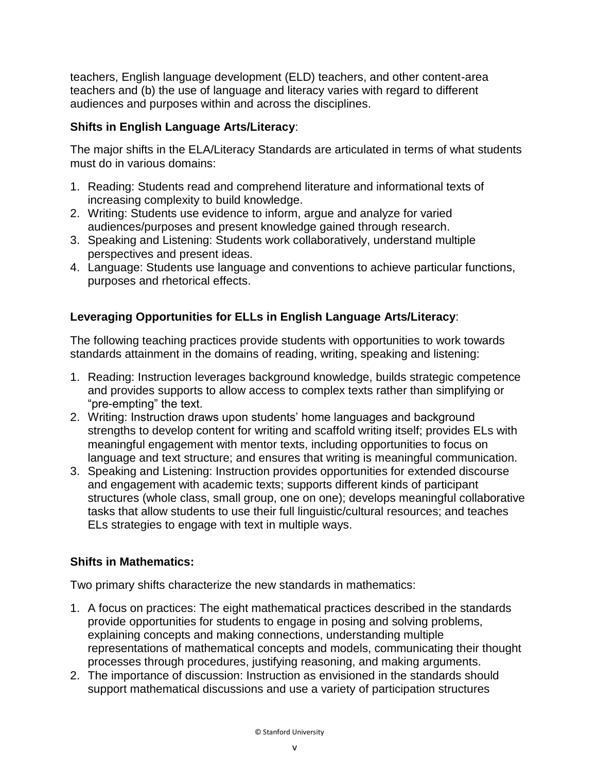teachers, English language development (ELD) teachers, and other content-area teachers and (b) the use of language and literacy varies with regard to different audiences and purposes within and across the disciplines.

## **Shifts in English Language Arts/Literacy**:

The major shifts in the ELA/Literacy Standards are articulated in terms of what students must do in various domains:

- 1. Reading: Students read and comprehend literature and informational texts of increasing complexity to build knowledge.
- 2. Writing: Students use evidence to inform, argue and analyze for varied audiences/purposes and present knowledge gained through research.
- 3. Speaking and Listening: Students work collaboratively, understand multiple perspectives and present ideas.
- 4. Language: Students use language and conventions to achieve particular functions, purposes and rhetorical effects.

# **Leveraging Opportunities for ELLs in English Language Arts/Literacy**:

The following teaching practices provide students with opportunities to work towards standards attainment in the domains of reading, writing, speaking and listening:

- 1. Reading: Instruction leverages background knowledge, builds strategic competence and provides supports to allow access to complex texts rather than simplifying or "pre-empting" the text.
- 2. Writing: Instruction draws upon students' home languages and background strengths to develop content for writing and scaffold writing itself; provides ELs with meaningful engagement with mentor texts, including opportunities to focus on language and text structure; and ensures that writing is meaningful communication.
- 3. Speaking and Listening: Instruction provides opportunities for extended discourse and engagement with academic texts; supports different kinds of participant structures (whole class, small group, one on one); develops meaningful collaborative tasks that allow students to use their full linguistic/cultural resources; and teaches ELs strategies to engage with text in multiple ways.

## **Shifts in Mathematics:**

Two primary shifts characterize the new standards in mathematics:

- 1. A focus on practices: The eight mathematical practices described in the standards provide opportunities for students to engage in posing and solving problems, explaining concepts and making connections, understanding multiple representations of mathematical concepts and models, communicating their thought processes through procedures, justifying reasoning, and making arguments.
- 2. The importance of discussion: Instruction as envisioned in the standards should support mathematical discussions and use a variety of participation structures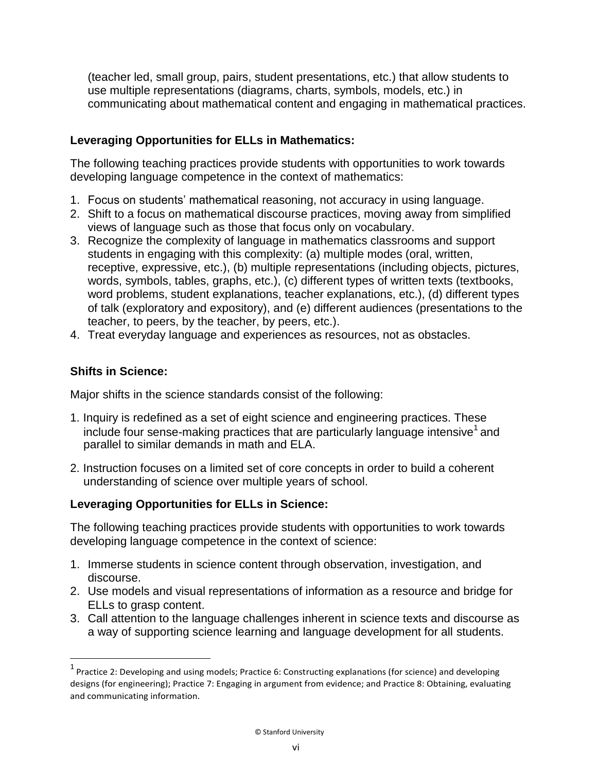(teacher led, small group, pairs, student presentations, etc.) that allow students to use multiple representations (diagrams, charts, symbols, models, etc.) in communicating about mathematical content and engaging in mathematical practices.

## **Leveraging Opportunities for ELLs in Mathematics:**

The following teaching practices provide students with opportunities to work towards developing language competence in the context of mathematics:

- 1. Focus on students' mathematical reasoning, not accuracy in using language.
- 2. Shift to a focus on mathematical discourse practices, moving away from simplified views of language such as those that focus only on vocabulary.
- 3. Recognize the complexity of language in mathematics classrooms and support students in engaging with this complexity: (a) multiple modes (oral, written, receptive, expressive, etc.), (b) multiple representations (including objects, pictures, words, symbols, tables, graphs, etc.), (c) different types of written texts (textbooks, word problems, student explanations, teacher explanations, etc.), (d) different types of talk (exploratory and expository), and (e) different audiences (presentations to the teacher, to peers, by the teacher, by peers, etc.).
- 4. Treat everyday language and experiences as resources, not as obstacles.

## **Shifts in Science:**

Major shifts in the science standards consist of the following:

- 1. Inquiry is redefined as a set of eight science and engineering practices. These include four sense-making practices that are particularly language intensive<sup>1</sup> and parallel to similar demands in math and ELA.
- 2. Instruction focuses on a limited set of core concepts in order to build a coherent understanding of science over multiple years of school.

## **Leveraging Opportunities for ELLs in Science:**

The following teaching practices provide students with opportunities to work towards developing language competence in the context of science:

- 1. Immerse students in science content through observation, investigation, and discourse.
- 2. Use models and visual representations of information as a resource and bridge for ELLs to grasp content.
- 3. Call attention to the language challenges inherent in science texts and discourse as a way of supporting science learning and language development for all students.

 $1$  Practice 2: Developing and using models; Practice 6: Constructing explanations (for science) and developing designs (for engineering); Practice 7: Engaging in argument from evidence; and Practice 8: Obtaining, evaluating and communicating information.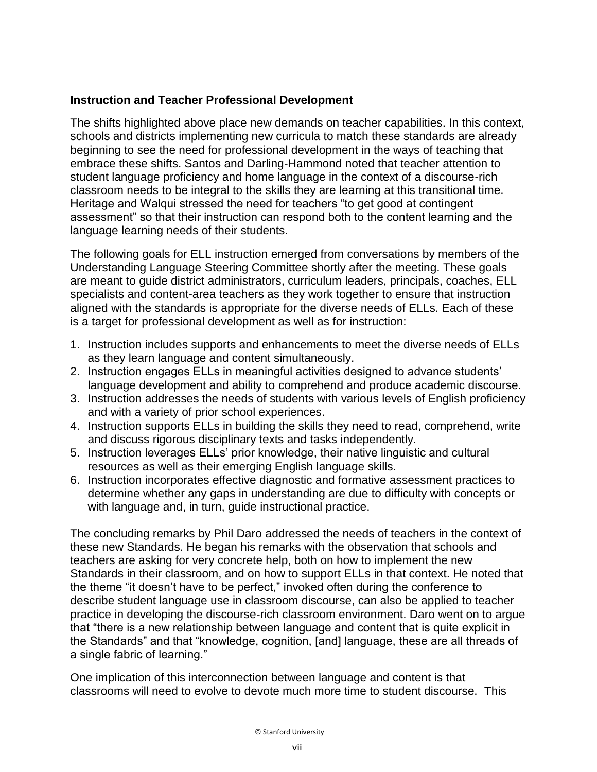#### **Instruction and Teacher Professional Development**

The shifts highlighted above place new demands on teacher capabilities. In this context, schools and districts implementing new curricula to match these standards are already beginning to see the need for professional development in the ways of teaching that embrace these shifts. Santos and Darling-Hammond noted that teacher attention to student language proficiency and home language in the context of a discourse-rich classroom needs to be integral to the skills they are learning at this transitional time. Heritage and Walqui stressed the need for teachers "to get good at contingent assessment" so that their instruction can respond both to the content learning and the language learning needs of their students.

The following goals for ELL instruction emerged from conversations by members of the Understanding Language Steering Committee shortly after the meeting. These goals are meant to guide district administrators, curriculum leaders, principals, coaches, ELL specialists and content-area teachers as they work together to ensure that instruction aligned with the standards is appropriate for the diverse needs of ELLs. Each of these is a target for professional development as well as for instruction:

- 1. Instruction includes supports and enhancements to meet the diverse needs of ELLs as they learn language and content simultaneously.
- 2. Instruction engages ELLs in meaningful activities designed to advance students' language development and ability to comprehend and produce academic discourse.
- 3. Instruction addresses the needs of students with various levels of English proficiency and with a variety of prior school experiences.
- 4. Instruction supports ELLs in building the skills they need to read, comprehend, write and discuss rigorous disciplinary texts and tasks independently.
- 5. Instruction leverages ELLs' prior knowledge, their native linguistic and cultural resources as well as their emerging English language skills.
- 6. Instruction incorporates effective diagnostic and formative assessment practices to determine whether any gaps in understanding are due to difficulty with concepts or with language and, in turn, guide instructional practice.

The concluding remarks by Phil Daro addressed the needs of teachers in the context of these new Standards. He began his remarks with the observation that schools and teachers are asking for very concrete help, both on how to implement the new Standards in their classroom, and on how to support ELLs in that context. He noted that the theme "it doesn't have to be perfect," invoked often during the conference to describe student language use in classroom discourse, can also be applied to teacher practice in developing the discourse-rich classroom environment. Daro went on to argue that "there is a new relationship between language and content that is quite explicit in the Standards" and that "knowledge, cognition, [and] language, these are all threads of a single fabric of learning."

One implication of this interconnection between language and content is that classrooms will need to evolve to devote much more time to student discourse. This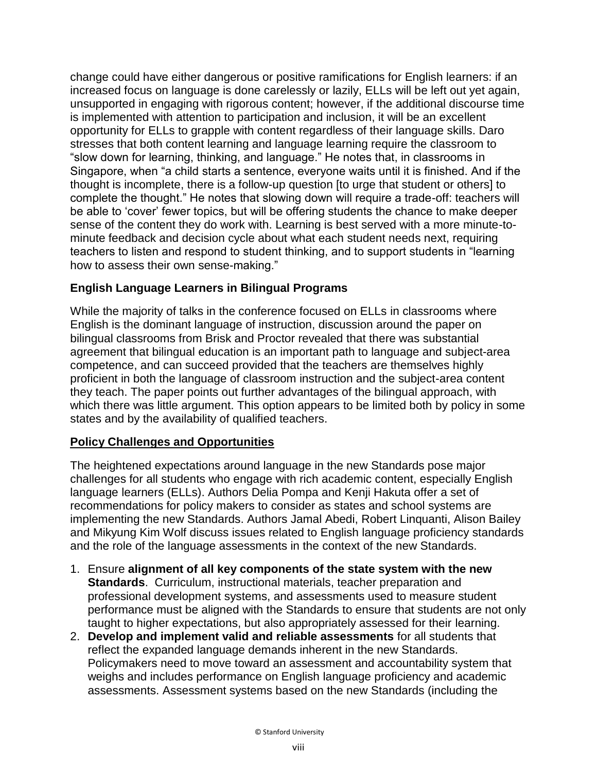change could have either dangerous or positive ramifications for English learners: if an increased focus on language is done carelessly or lazily, ELLs will be left out yet again, unsupported in engaging with rigorous content; however, if the additional discourse time is implemented with attention to participation and inclusion, it will be an excellent opportunity for ELLs to grapple with content regardless of their language skills. Daro stresses that both content learning and language learning require the classroom to "slow down for learning, thinking, and language." He notes that, in classrooms in Singapore, when "a child starts a sentence, everyone waits until it is finished. And if the thought is incomplete, there is a follow-up question [to urge that student or others] to complete the thought." He notes that slowing down will require a trade-off: teachers will be able to 'cover' fewer topics, but will be offering students the chance to make deeper sense of the content they do work with. Learning is best served with a more minute-tominute feedback and decision cycle about what each student needs next, requiring teachers to listen and respond to student thinking, and to support students in "learning how to assess their own sense-making."

## **English Language Learners in Bilingual Programs**

While the majority of talks in the conference focused on ELLs in classrooms where English is the dominant language of instruction, discussion around the paper on bilingual classrooms from Brisk and Proctor revealed that there was substantial agreement that bilingual education is an important path to language and subject-area competence, and can succeed provided that the teachers are themselves highly proficient in both the language of classroom instruction and the subject-area content they teach. The paper points out further advantages of the bilingual approach, with which there was little argument. This option appears to be limited both by policy in some states and by the availability of qualified teachers.

## **Policy Challenges and Opportunities**

The heightened expectations around language in the new Standards pose major challenges for all students who engage with rich academic content, especially English language learners (ELLs). Authors Delia Pompa and Kenji Hakuta offer a set of recommendations for policy makers to consider as states and school systems are implementing the new Standards. Authors Jamal Abedi, Robert Linquanti, Alison Bailey and Mikyung Kim Wolf discuss issues related to English language proficiency standards and the role of the language assessments in the context of the new Standards.

- 1. Ensure **alignment of all key components of the state system with the new Standards**. Curriculum, instructional materials, teacher preparation and professional development systems, and assessments used to measure student performance must be aligned with the Standards to ensure that students are not only taught to higher expectations, but also appropriately assessed for their learning.
- 2. **Develop and implement valid and reliable assessments** for all students that reflect the expanded language demands inherent in the new Standards. Policymakers need to move toward an assessment and accountability system that weighs and includes performance on English language proficiency and academic assessments. Assessment systems based on the new Standards (including the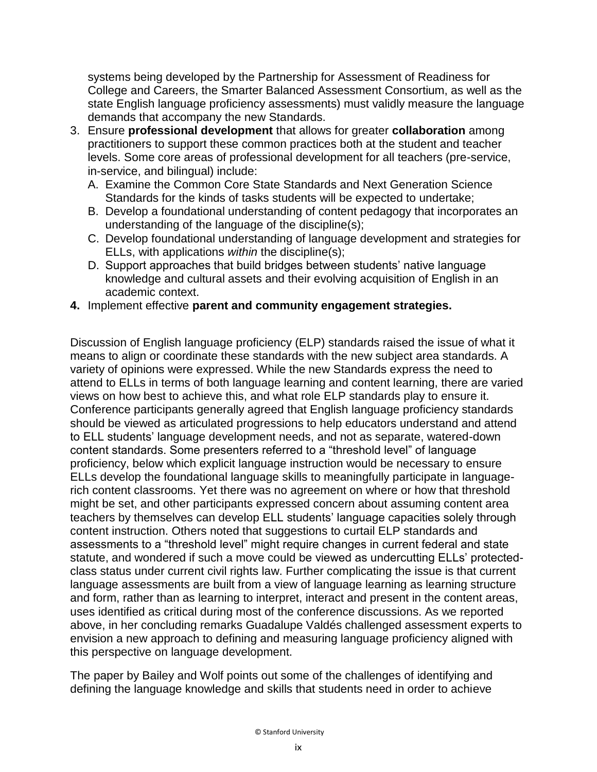systems being developed by the Partnership for Assessment of Readiness for College and Careers, the Smarter Balanced Assessment Consortium, as well as the state English language proficiency assessments) must validly measure the language demands that accompany the new Standards.

- 3. Ensure **professional development** that allows for greater **collaboration** among practitioners to support these common practices both at the student and teacher levels. Some core areas of professional development for all teachers (pre-service, in-service, and bilingual) include:
	- A. Examine the Common Core State Standards and Next Generation Science Standards for the kinds of tasks students will be expected to undertake;
	- B. Develop a foundational understanding of content pedagogy that incorporates an understanding of the language of the discipline(s);
	- C. Develop foundational understanding of language development and strategies for ELLs, with applications *within* the discipline(s);
	- D. Support approaches that build bridges between students' native language knowledge and cultural assets and their evolving acquisition of English in an academic context.
- **4.** Implement effective **parent and community engagement strategies.**

Discussion of English language proficiency (ELP) standards raised the issue of what it means to align or coordinate these standards with the new subject area standards. A variety of opinions were expressed. While the new Standards express the need to attend to ELLs in terms of both language learning and content learning, there are varied views on how best to achieve this, and what role ELP standards play to ensure it. Conference participants generally agreed that English language proficiency standards should be viewed as articulated progressions to help educators understand and attend to ELL students' language development needs, and not as separate, watered-down content standards. Some presenters referred to a "threshold level" of language proficiency, below which explicit language instruction would be necessary to ensure ELLs develop the foundational language skills to meaningfully participate in languagerich content classrooms. Yet there was no agreement on where or how that threshold might be set, and other participants expressed concern about assuming content area teachers by themselves can develop ELL students' language capacities solely through content instruction. Others noted that suggestions to curtail ELP standards and assessments to a "threshold level" might require changes in current federal and state statute, and wondered if such a move could be viewed as undercutting ELLs' protectedclass status under current civil rights law. Further complicating the issue is that current language assessments are built from a view of language learning as learning structure and form, rather than as learning to interpret, interact and present in the content areas, uses identified as critical during most of the conference discussions. As we reported above, in her concluding remarks Guadalupe Valdés challenged assessment experts to envision a new approach to defining and measuring language proficiency aligned with this perspective on language development.

The paper by Bailey and Wolf points out some of the challenges of identifying and defining the language knowledge and skills that students need in order to achieve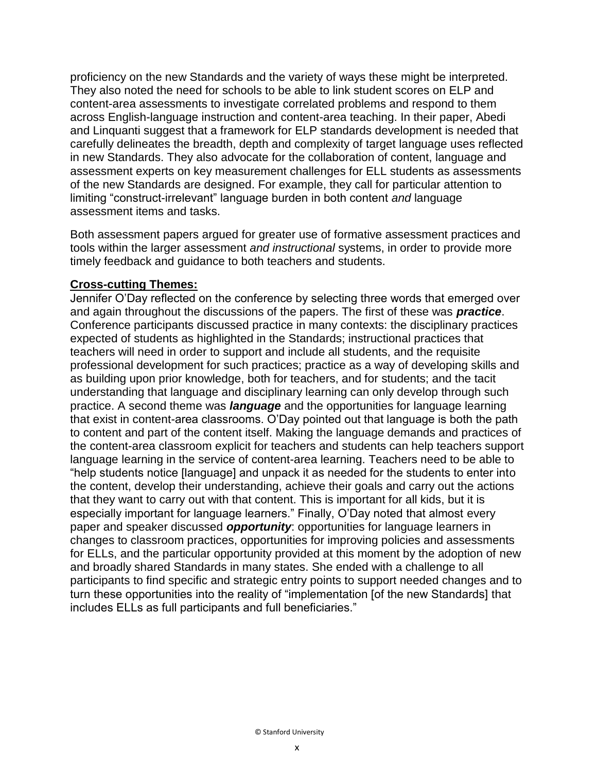proficiency on the new Standards and the variety of ways these might be interpreted. They also noted the need for schools to be able to link student scores on ELP and content-area assessments to investigate correlated problems and respond to them across English-language instruction and content-area teaching. In their paper, Abedi and Linquanti suggest that a framework for ELP standards development is needed that carefully delineates the breadth, depth and complexity of target language uses reflected in new Standards. They also advocate for the collaboration of content, language and assessment experts on key measurement challenges for ELL students as assessments of the new Standards are designed. For example, they call for particular attention to limiting "construct-irrelevant" language burden in both content *and* language assessment items and tasks.

Both assessment papers argued for greater use of formative assessment practices and tools within the larger assessment *and instructional* systems, in order to provide more timely feedback and guidance to both teachers and students.

#### **Cross-cutting Themes:**

Jennifer O'Day reflected on the conference by selecting three words that emerged over and again throughout the discussions of the papers. The first of these was *practice*. Conference participants discussed practice in many contexts: the disciplinary practices expected of students as highlighted in the Standards; instructional practices that teachers will need in order to support and include all students, and the requisite professional development for such practices; practice as a way of developing skills and as building upon prior knowledge, both for teachers, and for students; and the tacit understanding that language and disciplinary learning can only develop through such practice. A second theme was *language* and the opportunities for language learning that exist in content-area classrooms. O'Day pointed out that language is both the path to content and part of the content itself. Making the language demands and practices of the content-area classroom explicit for teachers and students can help teachers support language learning in the service of content-area learning. Teachers need to be able to "help students notice [language] and unpack it as needed for the students to enter into the content, develop their understanding, achieve their goals and carry out the actions that they want to carry out with that content. This is important for all kids, but it is especially important for language learners." Finally, O'Day noted that almost every paper and speaker discussed *opportunity*: opportunities for language learners in changes to classroom practices, opportunities for improving policies and assessments for ELLs, and the particular opportunity provided at this moment by the adoption of new and broadly shared Standards in many states. She ended with a challenge to all participants to find specific and strategic entry points to support needed changes and to turn these opportunities into the reality of "implementation [of the new Standards] that includes ELLs as full participants and full beneficiaries."